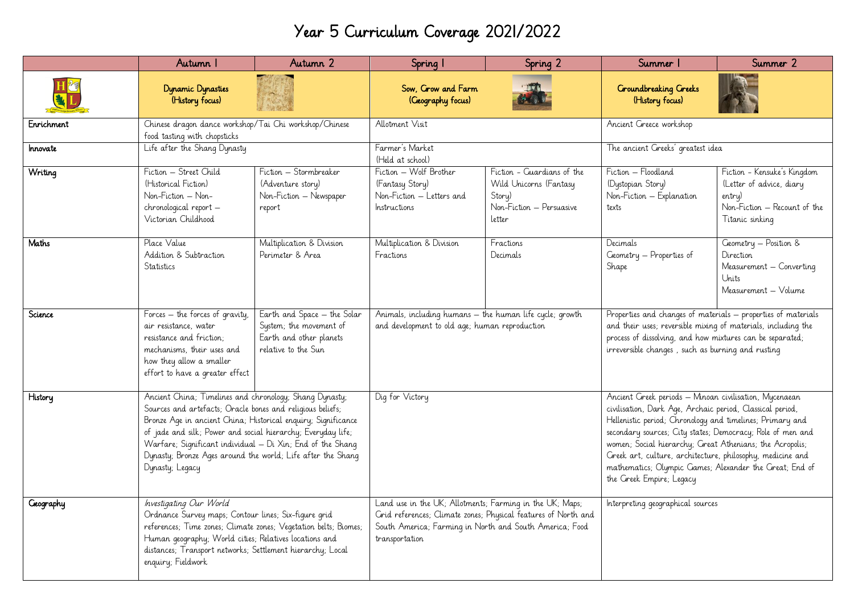## Year 5 Curriculum Coverage 2021/2022

|                  | Autumn I                                                                                                                                                                                                                                                                                                                                                                                               | Autumn 2                                                                                                 | Spring 1                                                                                                                                                                                                | Spring 2                                                                                             | Summer                                                                                                                                                                                                                                                                                                                                                                                                                                                          | Summer 2                                                                                                             |
|------------------|--------------------------------------------------------------------------------------------------------------------------------------------------------------------------------------------------------------------------------------------------------------------------------------------------------------------------------------------------------------------------------------------------------|----------------------------------------------------------------------------------------------------------|---------------------------------------------------------------------------------------------------------------------------------------------------------------------------------------------------------|------------------------------------------------------------------------------------------------------|-----------------------------------------------------------------------------------------------------------------------------------------------------------------------------------------------------------------------------------------------------------------------------------------------------------------------------------------------------------------------------------------------------------------------------------------------------------------|----------------------------------------------------------------------------------------------------------------------|
|                  | <b>Dynamic Dynasties</b><br>(History focus)                                                                                                                                                                                                                                                                                                                                                            |                                                                                                          | Sow, Crow and Farm<br>(Geography focus)                                                                                                                                                                 |                                                                                                      | <b>Croundbreaking Creeks</b><br>(History focus)                                                                                                                                                                                                                                                                                                                                                                                                                 |                                                                                                                      |
| Enrichment       | Chinese dragon dance workshop/Tai Chi workshop/Chinese<br>food tasting with chopsticks                                                                                                                                                                                                                                                                                                                 |                                                                                                          | Allotment Visit                                                                                                                                                                                         |                                                                                                      | Ancient Greece workshop                                                                                                                                                                                                                                                                                                                                                                                                                                         |                                                                                                                      |
| Innovate         | Life after the Shang Dynasty                                                                                                                                                                                                                                                                                                                                                                           |                                                                                                          | Farmer's Market<br>(Held at school)                                                                                                                                                                     |                                                                                                      | The ancient Greeks' greatest idea                                                                                                                                                                                                                                                                                                                                                                                                                               |                                                                                                                      |
| Writing          | Fiction - Street Child<br>(Historical Fiction)<br>Non-Fiction - Non-<br>chronological report -<br>Victorian Childhood                                                                                                                                                                                                                                                                                  | Fiction – Stormbreaker<br>(Adventure story)<br>Non-Fiction - Newspaper<br>report                         | Fiction - Wolf Brother<br>(Fantasy Story)<br>Non-Fiction - Letters and<br>Instructions                                                                                                                  | Fiction - Guardians of the<br>Wild Unicorns (Fantasy<br>Story)<br>Non-Fiction - Persuasive<br>letter | Fiction - Floodland<br>(Dystopian Story)<br>Non-Fiction - Explanation<br>texts                                                                                                                                                                                                                                                                                                                                                                                  | Fiction - Kensuke's Kingdom<br>(Letter of advice, diary<br>entry)<br>Non-Fiction - Recount of the<br>Titanic sinking |
| Maths            | Place Value<br>Addition & Subtraction<br><b>Statistics</b>                                                                                                                                                                                                                                                                                                                                             | Multiplication & Division<br>Perimeter & Area                                                            | Multiplication & Division<br>Fractions                                                                                                                                                                  | Fractions<br>Decimals                                                                                | Decimals<br>Geometry - Properties of<br>Shape                                                                                                                                                                                                                                                                                                                                                                                                                   | Geometry - Position &<br>Direction<br>Measurement - Converting<br>Units<br>Measurement - Volume                      |
| Science          | Forces - the forces of gravity,<br>air resistance, water<br>resistance and friction:<br>mechanisms, their uses and<br>how they allow a smaller<br>effort to have a greater effect                                                                                                                                                                                                                      | Earth and Space - the Solar<br>System; the movement of<br>Earth and other planets<br>relative to the Sun | Animals, including humans - the human life cycle; growth<br>and development to old age; human reproduction                                                                                              |                                                                                                      | Properties and changes of materials - properties of materials<br>and their uses; reversible mixing of materials, including the<br>process of dissolving, and how mixtures can be separated;<br>irreversible changes, such as burning and rusting                                                                                                                                                                                                                |                                                                                                                      |
| History          | Ancient China; Timelines and chronology; Shang Dynasty;<br>Sources and artefacts; Oracle bones and religious beliefs;<br>Bronze Age in ancient China; Historical enquiry; Significance<br>of jade and silk; Power and social hierarchy; Everyday life;<br>Warfare; Significant individual - Di Xin; End of the Shang<br>Dynasty; Bronze Ages around the world; Life after the Shang<br>Dynasty; Legacy |                                                                                                          | Dig for Victory                                                                                                                                                                                         |                                                                                                      | Ancient Greek periods - Minoan civilisation, Mycenaean<br>civilisation, Dark Age, Archaic period, Classical period,<br>Hellenistic period; Chronology and timelines; Primary and<br>secondary sources; City states; Democracy; Role of men and<br>women; Social hierarchy; Great Athenians; the Acropolis;<br>Greek art, culture, architecture, philosophy, medicine and<br>mathematics; Olympic Games; Alexander the Great; End of<br>the Greek Empire; Legacy |                                                                                                                      |
| <b>Ceography</b> | Investigating Our World<br>Ordnance Survey maps; Contour lines; Six-figure grid<br>references; Time zones; Climate zones; Vegetation belts; Biomes;<br>Human geography; World cities; Relatives locations and<br>distances; Transport networks; Settlement hierarchy; Local<br>enquiry; Fieldwork                                                                                                      |                                                                                                          | Land use in the UK; Allotments; Farming in the UK; Maps;<br>Grid references; Climate zones; Physical features of North and<br>South America; Farming in North and South America; Food<br>transportation |                                                                                                      | Interpreting geographical sources                                                                                                                                                                                                                                                                                                                                                                                                                               |                                                                                                                      |